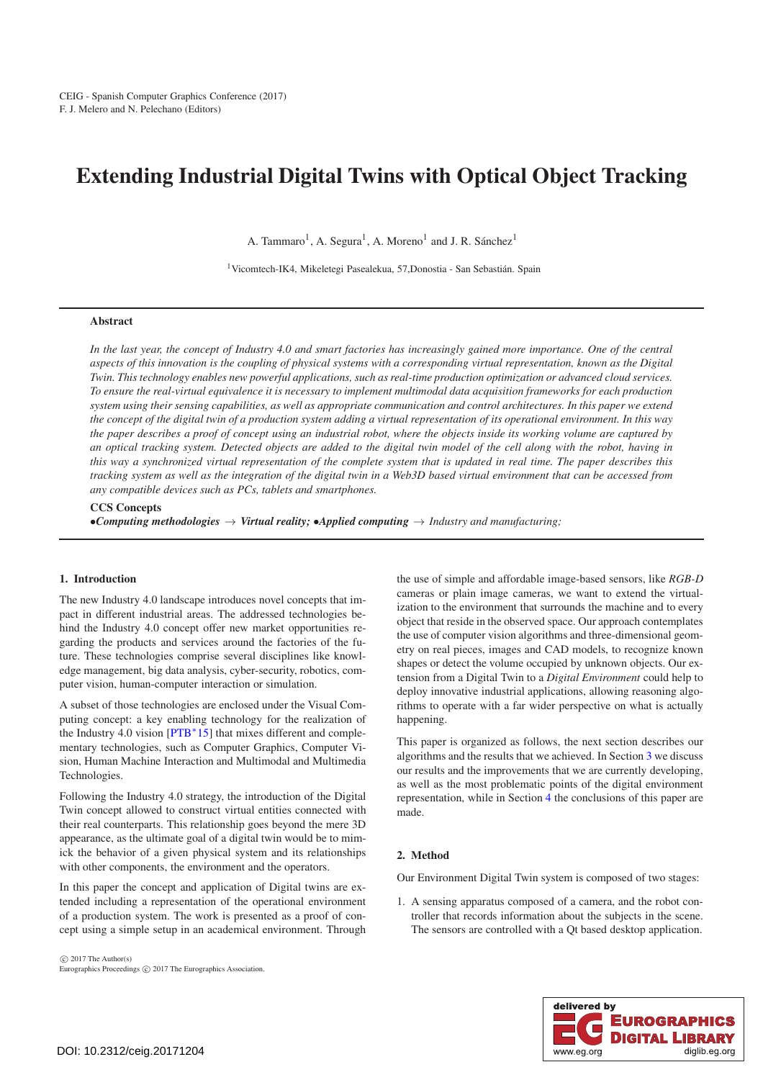# <span id="page-0-0"></span>Extending Industrial Digital Twins with Optical Object Tracking

A. Tammaro<sup>1</sup>, A. Segura<sup>1</sup>, A. Moreno<sup>1</sup> and J. R. Sánchez<sup>1</sup>

1Vicomtech-IK4, Mikeletegi Pasealekua, 57,Donostia - San Sebastián. Spain

# Abstract

*In the last year, the concept of Industry 4.0 and smart factories has increasingly gained more importance. One of the central aspects of this innovation is the coupling of physical systems with a corresponding virtual representation, known as the Digital Twin. This technology enables new powerful applications, such as real-time production optimization or advanced cloud services. To ensure the real-virtual equivalence it is necessary to implement multimodal data acquisition frameworks for each production system using their sensing capabilities, as well as appropriate communication and control architectures. In this paper we extend the concept of the digital twin of a production system adding a virtual representation of its operational environment. In this way the paper describes a proof of concept using an industrial robot, where the objects inside its working volume are captured by an optical tracking system. Detected objects are added to the digital twin model of the cell along with the robot, having in this way a synchronized virtual representation of the complete system that is updated in real time. The paper describes this tracking system as well as the integration of the digital twin in a Web3D based virtual environment that can be accessed from any compatible devices such as PCs, tablets and smartphones.*

# CCS Concepts

•*Computing methodologies* → *Virtual reality;* •*Applied computing* → *Industry and manufacturing;*

#### 1. Introduction

The new Industry 4.0 landscape introduces novel concepts that impact in different industrial areas. The addressed technologies behind the Industry 4.0 concept offer new market opportunities regarding the products and services around the factories of the future. These technologies comprise several disciplines like knowledge management, big data analysis, cyber-security, robotics, computer vision, human-computer interaction or simulation.

A subset of those technologies are enclosed under the Visual Computing concept: a key enabling technology for the realization of the Industry 4.0 vision [\[PTB](#page-3-0)∗15] that mixes different and complementary technologies, such as Computer Graphics, Computer Vision, Human Machine Interaction and Multimodal and Multimedia Technologies.

Following the Industry 4.0 strategy, the introduction of the Digital Twin concept allowed to construct virtual entities connected with their real counterparts. This relationship goes beyond the mere 3D appearance, as the ultimate goal of a digital twin would be to mimick the behavior of a given physical system and its relationships with other components, the environment and the operators.

In this paper the concept and application of Digital twins are extended including a representation of the operational environment of a production system. The work is presented as a proof of concept using a simple setup in an academical environment. Through

 $\odot$  2017 The Author(s) Eurographics Proceedings (C) 2017 The Eurographics Association. the use of simple and affordable image-based sensors, like *RGB-D* cameras or plain image cameras, we want to extend the virtualization to the environment that surrounds the machine and to every object that reside in the observed space. Our approach contemplates the use of computer vision algorithms and three-dimensional geometry on real pieces, images and CAD models, to recognize known shapes or detect the volume occupied by unknown objects. Our extension from a Digital Twin to a *Digital Environment* could help to deploy innovative industrial applications, allowing reasoning algorithms to operate with a far wider perspective on what is actually happening.

This paper is organized as follows, the next section describes our algorithms and the results that we achieved. In Section [3](#page-3-1) we discuss our results and the improvements that we are currently developing, as well as the most problematic points of the digital environment representation, while in Section [4](#page-3-2) the conclusions of this paper are made.

#### 2. Method

Our Environment Digital Twin system is composed of two stages:

1. A sensing apparatus composed of a camera, and the robot controller that records information about the subjects in the scene. The sensors are controlled with a Qt based desktop application.

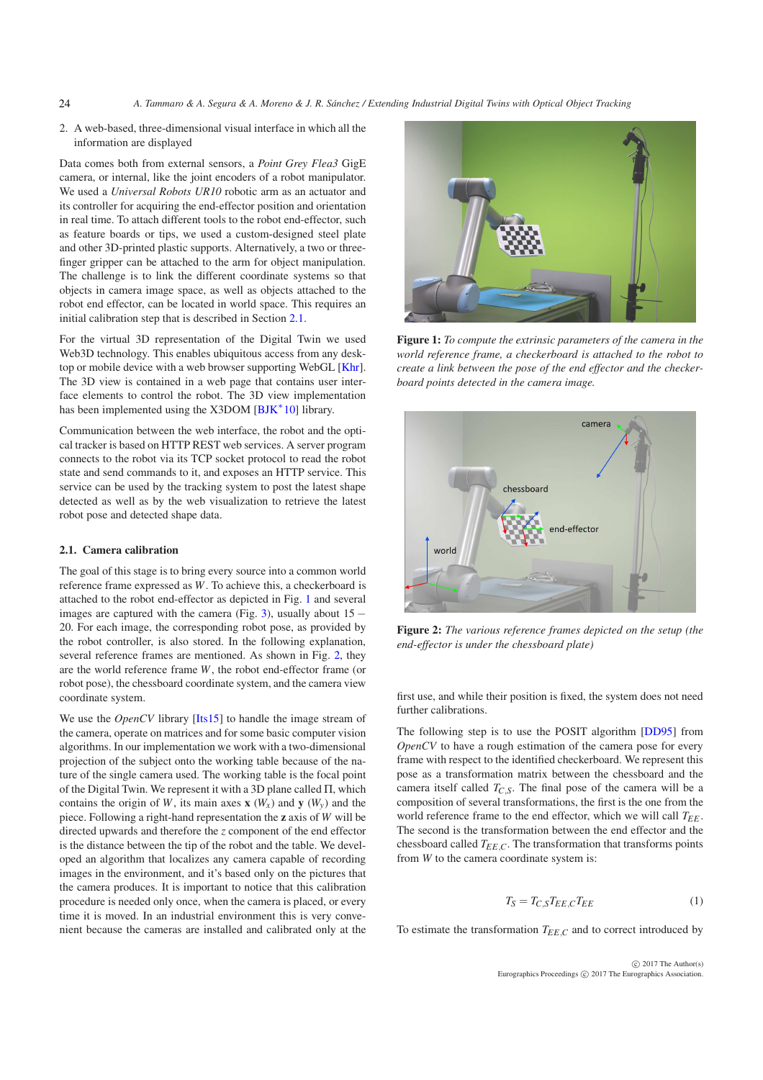- *A. Tammaro & A. Segura & A. Moreno & J. R. Sánchez / Extending Industrial Digital Twins with Optical Object Tracking*
- 2. A web-based, three-dimensional visual interface in which all the information are displayed

Data comes both from external sensors, a *Point Grey Flea3* GigE camera, or internal, like the joint encoders of a robot manipulator. We used a *Universal Robots UR10* robotic arm as an actuator and its controller for acquiring the end-effector position and orientation in real time. To attach different tools to the robot end-effector, such as feature boards or tips, we used a custom-designed steel plate and other 3D-printed plastic supports. Alternatively, a two or threefinger gripper can be attached to the arm for object manipulation. The challenge is to link the different coordinate systems so that objects in camera image space, as well as objects attached to the robot end effector, can be located in world space. This requires an initial calibration step that is described in Section [2.1.](#page-1-0)

For the virtual 3D representation of the Digital Twin we used Web3D technology. This enables ubiquitous access from any desktop or mobile device with a web browser supporting WebGL [\[Khr\]](#page-3-3). The 3D view is contained in a web page that contains user interface elements to control the robot. The 3D view implementation has been implemented using the X3DOM  $[BJK^*10]$  $[BJK^*10]$  library.

Communication between the web interface, the robot and the optical tracker is based on HTTP REST web services. A server program connects to the robot via its TCP socket protocol to read the robot state and send commands to it, and exposes an HTTP service. This service can be used by the tracking system to post the latest shape detected as well as by the web visualization to retrieve the latest robot pose and detected shape data.

## <span id="page-1-0"></span>2.1. Camera calibration

<span id="page-1-3"></span>24

The goal of this stage is to bring every source into a common world reference frame expressed as *W*. To achieve this, a checkerboard is attached to the robot end-effector as depicted in Fig. [1](#page-1-1) and several images are captured with the camera (Fig. [3\)](#page-2-0), usually about  $15 -$ 20. For each image, the corresponding robot pose, as provided by the robot controller, is also stored. In the following explanation, several reference frames are mentioned. As shown in Fig. [2,](#page-1-2) they are the world reference frame *W*, the robot end-effector frame (or robot pose), the chessboard coordinate system, and the camera view coordinate system.

We use the *OpenCV* library [\[Its15\]](#page-3-5) to handle the image stream of the camera, operate on matrices and for some basic computer vision algorithms. In our implementation we work with a two-dimensional projection of the subject onto the working table because of the nature of the single camera used. The working table is the focal point of the Digital Twin. We represent it with a 3D plane called Π, which contains the origin of *W*, its main axes  $\mathbf{x}$  (*W<sub>x</sub>*) and  $\mathbf{y}$  (*W<sub>y</sub>*) and the piece. Following a right-hand representation the z axis of *W* will be directed upwards and therefore the *z* component of the end effector is the distance between the tip of the robot and the table. We developed an algorithm that localizes any camera capable of recording images in the environment, and it's based only on the pictures that the camera produces. It is important to notice that this calibration procedure is needed only once, when the camera is placed, or every time it is moved. In an industrial environment this is very convenient because the cameras are installed and calibrated only at the



Figure 1: *To compute the extrinsic parameters of the camera in the world reference frame, a checkerboard is attached to the robot to create a link between the pose of the end effector and the checkerboard points detected in the camera image.*

<span id="page-1-1"></span>

<span id="page-1-2"></span>Figure 2: *The various reference frames depicted on the setup (the end-effector is under the chessboard plate)*

first use, and while their position is fixed, the system does not need further calibrations.

The following step is to use the POSIT algorithm [\[DD95\]](#page-3-6) from *OpenCV* to have a rough estimation of the camera pose for every frame with respect to the identified checkerboard. We represent this pose as a transformation matrix between the chessboard and the camera itself called  $T_{CS}$ . The final pose of the camera will be a composition of several transformations, the first is the one from the world reference frame to the end effector, which we will call  $T_{EE}$ . The second is the transformation between the end effector and the chessboard called  $T_{EE,C}$ . The transformation that transforms points from *W* to the camera coordinate system is:

$$
T_S = T_{C,S} T_{EE,C} T_{EE}
$$
 (1)

To estimate the transformation  $T_{EE,C}$  and to correct introduced by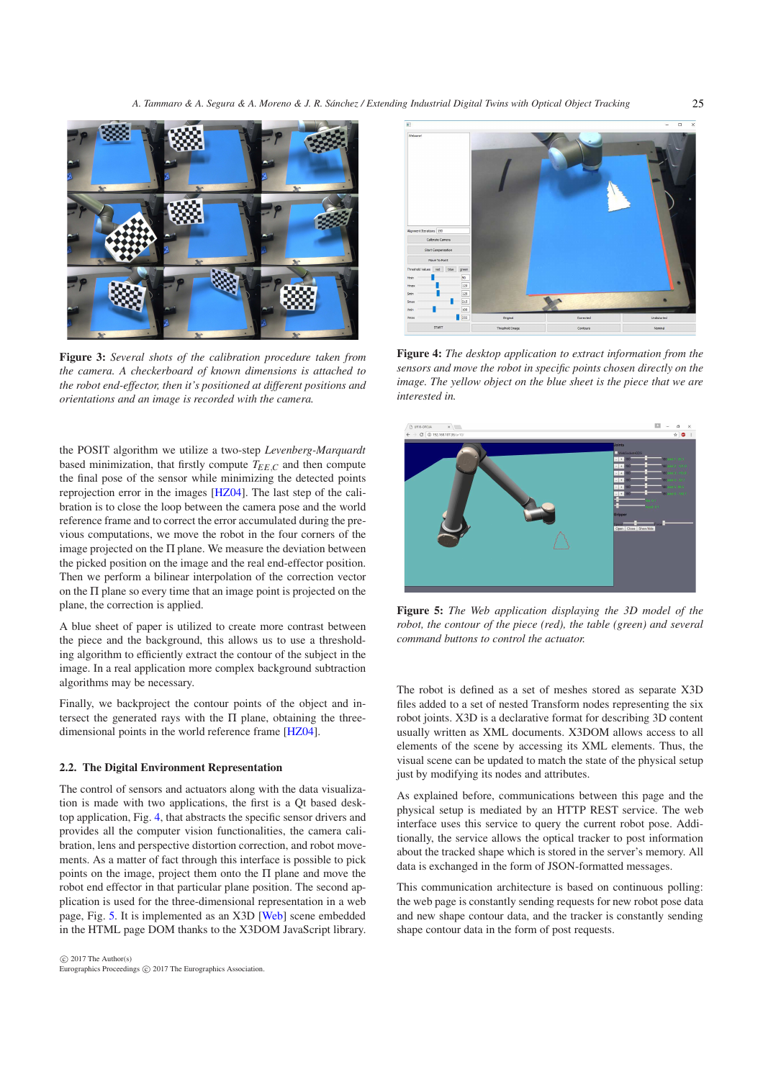<span id="page-2-3"></span>

Figure 3: *Several shots of the calibration procedure taken from the camera. A checkerboard of known dimensions is attached to the robot end-effector, then it's positioned at different positions and orientations and an image is recorded with the camera.*

<span id="page-2-0"></span>the POSIT algorithm we utilize a two-step *Levenberg-Marquardt* based minimization, that firstly compute  $T_{EE,C}$  and then compute the final pose of the sensor while minimizing the detected points reprojection error in the images [\[HZ04\]](#page-3-7). The last step of the calibration is to close the loop between the camera pose and the world reference frame and to correct the error accumulated during the previous computations, we move the robot in the four corners of the image projected on the  $\Pi$  plane. We measure the deviation between the picked position on the image and the real end-effector position. Then we perform a bilinear interpolation of the correction vector on the Π plane so every time that an image point is projected on the plane, the correction is applied.

A blue sheet of paper is utilized to create more contrast between the piece and the background, this allows us to use a thresholding algorithm to efficiently extract the contour of the subject in the image. In a real application more complex background subtraction algorithms may be necessary.

Finally, we backproject the contour points of the object and intersect the generated rays with the Π plane, obtaining the threedimensional points in the world reference frame [\[HZ04\]](#page-3-7).

# 2.2. The Digital Environment Representation

The control of sensors and actuators along with the data visualization is made with two applications, the first is a Qt based desktop application, Fig. [4,](#page-2-1) that abstracts the specific sensor drivers and provides all the computer vision functionalities, the camera calibration, lens and perspective distortion correction, and robot movements. As a matter of fact through this interface is possible to pick points on the image, project them onto the Π plane and move the robot end effector in that particular plane position. The second application is used for the three-dimensional representation in a web page, Fig. [5.](#page-2-2) It is implemented as an X3D [\[Web\]](#page-3-8) scene embedded in the HTML page DOM thanks to the X3DOM JavaScript library.



Figure 4: *The desktop application to extract information from the sensors and move the robot in specific points chosen directly on the image. The yellow object on the blue sheet is the piece that we are interested in.*

<span id="page-2-1"></span>

<span id="page-2-2"></span>Figure 5: *The Web application displaying the 3D model of the robot, the contour of the piece (red), the table (green) and several command buttons to control the actuator.*

The robot is defined as a set of meshes stored as separate X3D files added to a set of nested Transform nodes representing the six robot joints. X3D is a declarative format for describing 3D content usually written as XML documents. X3DOM allows access to all elements of the scene by accessing its XML elements. Thus, the visual scene can be updated to match the state of the physical setup just by modifying its nodes and attributes.

As explained before, communications between this page and the physical setup is mediated by an HTTP REST service. The web interface uses this service to query the current robot pose. Additionally, the service allows the optical tracker to post information about the tracked shape which is stored in the server's memory. All data is exchanged in the form of JSON-formatted messages.

This communication architecture is based on continuous polling: the web page is constantly sending requests for new robot pose data and new shape contour data, and the tracker is constantly sending shape contour data in the form of post requests.